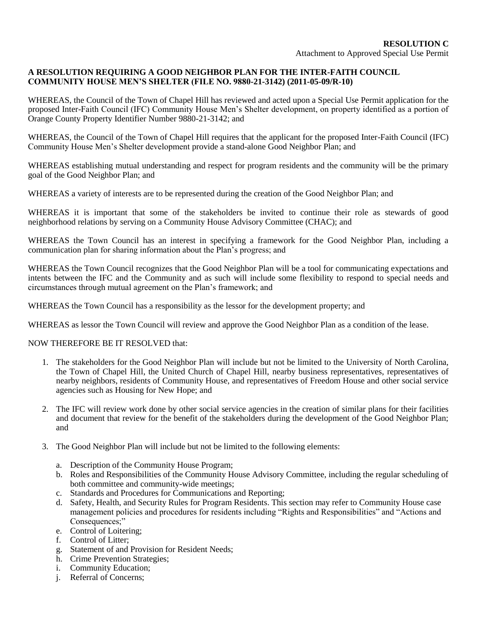## **A RESOLUTION REQUIRING A GOOD NEIGHBOR PLAN FOR THE INTER-FAITH COUNCIL COMMUNITY HOUSE MEN'S SHELTER (FILE NO. 9880-21-3142) (2011-05-09/R-10)**

WHEREAS, the Council of the Town of Chapel Hill has reviewed and acted upon a Special Use Permit application for the proposed Inter-Faith Council (IFC) Community House Men's Shelter development, on property identified as a portion of Orange County Property Identifier Number 9880-21-3142; and

WHEREAS, the Council of the Town of Chapel Hill requires that the applicant for the proposed Inter-Faith Council (IFC) Community House Men's Shelter development provide a stand-alone Good Neighbor Plan; and

WHEREAS establishing mutual understanding and respect for program residents and the community will be the primary goal of the Good Neighbor Plan; and

WHEREAS a variety of interests are to be represented during the creation of the Good Neighbor Plan; and

WHEREAS it is important that some of the stakeholders be invited to continue their role as stewards of good neighborhood relations by serving on a Community House Advisory Committee (CHAC); and

WHEREAS the Town Council has an interest in specifying a framework for the Good Neighbor Plan, including a communication plan for sharing information about the Plan's progress; and

WHEREAS the Town Council recognizes that the Good Neighbor Plan will be a tool for communicating expectations and intents between the IFC and the Community and as such will include some flexibility to respond to special needs and circumstances through mutual agreement on the Plan's framework; and

WHEREAS the Town Council has a responsibility as the lessor for the development property; and

WHEREAS as lessor the Town Council will review and approve the Good Neighbor Plan as a condition of the lease.

## NOW THEREFORE BE IT RESOLVED that:

- 1. The stakeholders for the Good Neighbor Plan will include but not be limited to the University of North Carolina, the Town of Chapel Hill, the United Church of Chapel Hill, nearby business representatives, representatives of nearby neighbors, residents of Community House, and representatives of Freedom House and other social service agencies such as Housing for New Hope; and
- 2. The IFC will review work done by other social service agencies in the creation of similar plans for their facilities and document that review for the benefit of the stakeholders during the development of the Good Neighbor Plan; and
- 3. The Good Neighbor Plan will include but not be limited to the following elements:
	- a. Description of the Community House Program;
	- b. Roles and Responsibilities of the Community House Advisory Committee, including the regular scheduling of both committee and community-wide meetings;
	- c. Standards and Procedures for Communications and Reporting;
	- d. Safety, Health, and Security Rules for Program Residents. This section may refer to Community House case management policies and procedures for residents including "Rights and Responsibilities" and "Actions and Consequences;"
	- e. Control of Loitering;
	- f. Control of Litter;
	- g. Statement of and Provision for Resident Needs;
	- h. Crime Prevention Strategies;
	- i. Community Education;
	- j. Referral of Concerns;